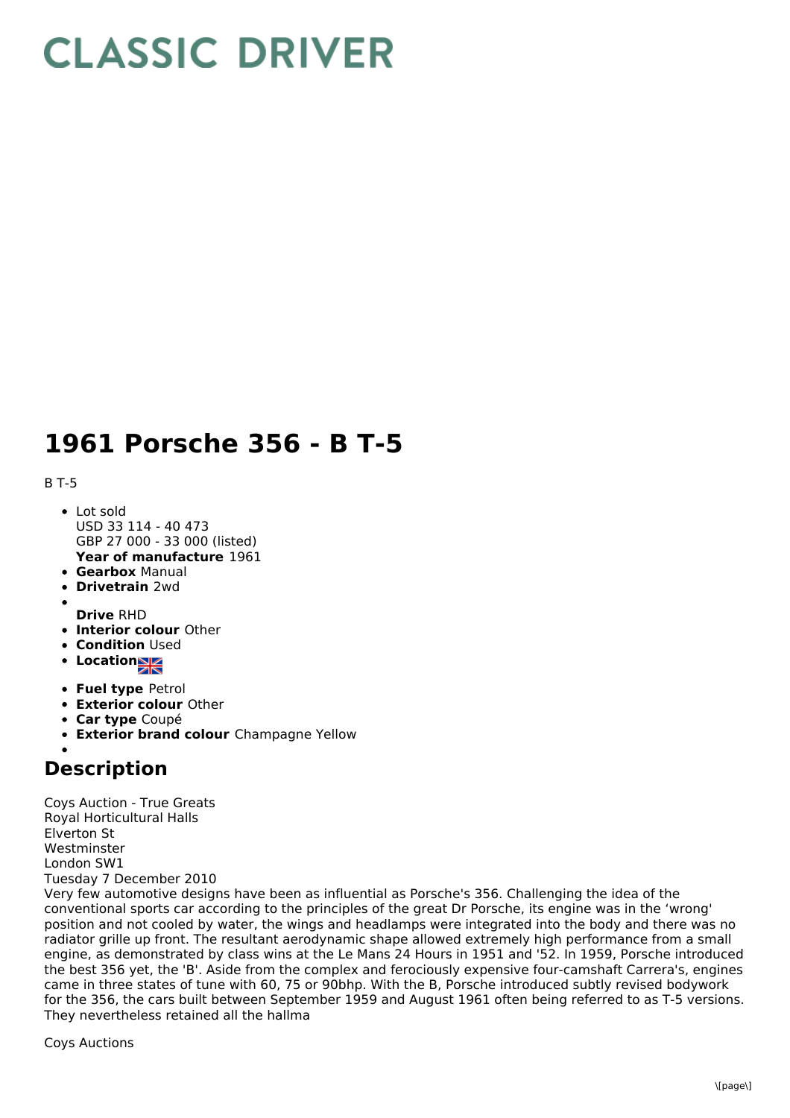## **CLASSIC DRIVER**

## **1961 Porsche 356 - B T-5**

B T-5

- **Year of manufacture** 1961 • Lot sold USD 33 114 - 40 473 GBP 27 000 - 33 000 (listed)
- **Gearbox** Manual
- **Drivetrain** 2wd
- **Drive** RHD
- **Interior colour** Other
- **Condition Used**
- Location<sub>al</sub>
- **Fuel type** Petrol
- **Exterior colour** Other
- **Car type** Coupé
- **Exterior brand colour** Champagne Yellow

## **Description**

Coys Auction - True Greats Royal Horticultural Halls Elverton St Westminster London SW1 Tuesday 7 December 2010

Very few automotive designs have been as influential as Porsche's 356. Challenging the idea of the conventional sports car according to the principles of the great Dr Porsche, its engine was in the 'wrong' position and not cooled by water, the wings and headlamps were integrated into the body and there was no radiator grille up front. The resultant aerodynamic shape allowed extremely high performance from a small engine, as demonstrated by class wins at the Le Mans 24 Hours in 1951 and '52. In 1959, Porsche introduced the best 356 yet, the 'B'. Aside from the complex and ferociously expensive four-camshaft Carrera's, engines came in three states of tune with 60, 75 or 90bhp. With the B, Porsche introduced subtly revised bodywork for the 356, the cars built between September 1959 and August 1961 often being referred to as T-5 versions. They nevertheless retained all the hallma

Coys Auctions